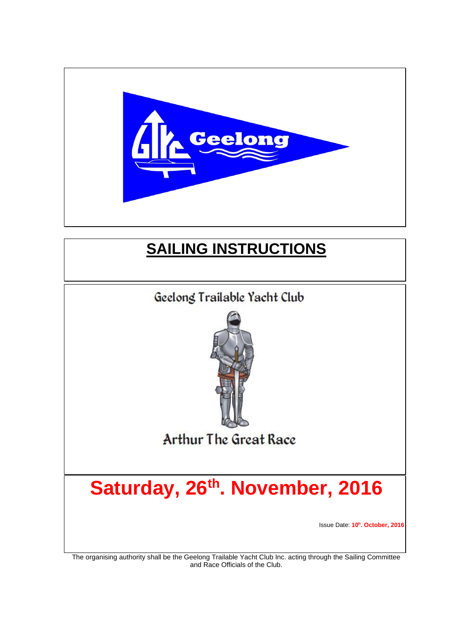

# **SAILING INSTRUCTIONS**



The organising authority shall be the Geelong Trailable Yacht Club Inc. acting through the Sailing Committee and Race Officials of the Club.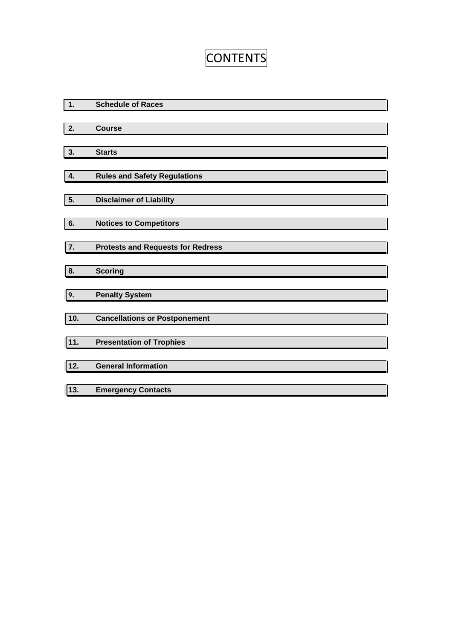# **CONTENTS**

| 1.               | <b>Schedule of Races</b>                 |
|------------------|------------------------------------------|
|                  |                                          |
| $\overline{2}$ . | <b>Course</b>                            |
|                  |                                          |
| 3.               | <b>Starts</b>                            |
| 4.               | <b>Rules and Safety Regulations</b>      |
|                  |                                          |
| 5.               | <b>Disclaimer of Liability</b>           |
| 6.               | <b>Notices to Competitors</b>            |
|                  |                                          |
| 7.               | <b>Protests and Requests for Redress</b> |
|                  |                                          |
| 8.               | <b>Scoring</b>                           |
| 9.               | <b>Penalty System</b>                    |
| 10.              | <b>Cancellations or Postponement</b>     |
| 11.              | <b>Presentation of Trophies</b>          |
| 12.              | <b>General Information</b>               |
|                  |                                          |
| 13.              | <b>Emergency Contacts</b>                |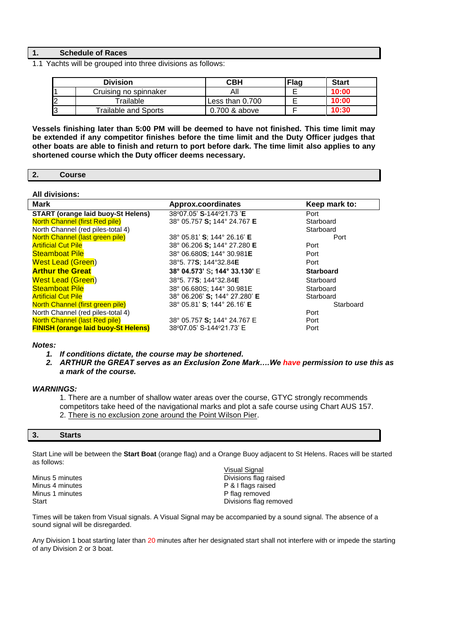### **1. Schedule of Races**

1.1 Yachts will be grouped into three divisions as follows:

|    | <b>Division</b>             | <b>CBH</b>      | <b>Flag</b> | <b>Start</b> |
|----|-----------------------------|-----------------|-------------|--------------|
|    | Cruising no spinnaker       |                 |             | 10:00        |
| I2 | Trailable                   | Less than 0.700 |             | 10:00        |
| I3 | <b>Trailable and Sports</b> | 0.700 & above   |             | 10:30        |

**Vessels finishing later than 5:00 PM will be deemed to have not finished. This time limit may be extended if any competitor finishes before the time limit and the Duty Officer judges that other boats are able to finish and return to port before dark. The time limit also applies to any shortened course which the Duty officer deems necessary.**

#### **2. Course**

#### **All divisions:**

| <b>Mark</b>                                | Approx.coordinates                         | Keep mark to:    |
|--------------------------------------------|--------------------------------------------|------------------|
| <b>START (orange laid buoy-St Helens)</b>  | 38°07.05' S-144°21.73 'E                   | Port             |
| <b>North Channel (first Red pile)</b>      | 38° 05.757 S; 144° 24.767 E                | Starboard        |
| North Channel (red piles-total 4)          |                                            | Starboard        |
| North Channel (last green pile)            | 38° 05.81' S: 144° 26.16' E                | Port             |
| <b>Artificial Cut Pile</b>                 | 38° 06.206 S; 144° 27.280 E                | Port             |
| <b>Steamboat Pile</b>                      | 38° 06.680 <b>S</b> ; 144° 30.981 <b>E</b> | Port             |
| <b>West Lead (Green)</b>                   | 38°5.77S; 144°32.84E                       | Port             |
| <b>Arthur the Great</b>                    | 38° 04.573' S: 144° 33.130' E              | <b>Starboard</b> |
| <b>West Lead (Green)</b>                   | 38°5.77S: 144°32.84E                       | Starboard        |
| <b>Steamboat Pile</b>                      | 38° 06.680S; 144° 30.981E                  | Starboard        |
| <b>Artificial Cut Pile</b>                 | 38° 06.206' S; 144° 27.280' E              | Starboard        |
| North Channel (first green pile)           | 38° 05.81' S: 144° 26.16' E                | Starboard        |
| North Channel (red piles-total 4)          |                                            | Port             |
| <b>North Channel (last Red pile)</b>       | 38° 05.757 S; 144° 24.767 E                | Port             |
| <b>FINISH (orange laid buoy-St Helens)</b> | 38°07.05' S-144°21.73' E                   | Port             |

#### *Notes:*

*1. If conditions dictate, the course may be shortened.*

*2. ARTHUR the GREAT serves as an Exclusion Zone Mark….We have permission to use this as a mark of the course.*

### *WARNINGS:*

1. There are a number of shallow water areas over the course, GTYC strongly recommends competitors take heed of the navigational marks and plot a safe course using Chart AUS 157. 2. There is no exclusion zone around the Point Wilson Pier.

#### **3. Starts**

Start Line will be between the **Start Boat** (orange flag) and a Orange Buoy adjacent to St Helens. Races will be started as follows:

Minus 1 minutes **P** flag removed

Visual Signal Minus 5 minutes **Divisions flag raised**<br>
Minus 4 minutes **Divisions flag raised**<br> **Divisions flags raised** P & I flags raised Start **Divisions flag removed** 

Times will be taken from Visual signals. A Visual Signal may be accompanied by a sound signal. The absence of a sound signal will be disregarded.

Any Division 1 boat starting later than 20 minutes after her designated start shall not interfere with or impede the starting of any Division 2 or 3 boat.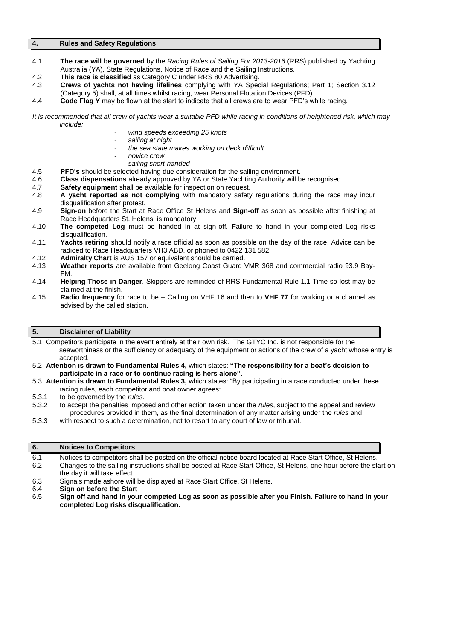#### **4. Rules and Safety Regulations**

- 4.1 **The race will be governed** by the *Racing Rules of Sailing For 2013-2016* (RRS) published by Yachting Australia (YA), State Regulations, Notice of Race and the Sailing Instructions.
- 4.2 **This race is classified** as Category C under RRS 80 Advertising.
- 4.3 **Crews of yachts not having lifelines** complying with YA Special Regulations; Part 1; Section 3.12 (Category 5) shall, at all times whilst racing, wear Personal Flotation Devices (PFD).
- 4.4 **Code Flag Y** may be flown at the start to indicate that all crews are to wear PFD's while racing.

- *wind speeds exceeding 25 knots*
- *sailing at night*
- *the sea state makes working on deck difficult*
- *novice crew*
- *sailing short-handed*
- 4.5 **PFD's** should be selected having due consideration for the sailing environment.
- 4.6 **Class dispensations** already approved by YA or State Yachting Authority will be recognised.
- Safety equipment shall be available for inspection on request.
- 4.8 **A yacht reported as not complying** with mandatory safety regulations during the race may incur disqualification after protest.
- 4.9 **Sign-on** before the Start at Race Office St Helens and **Sign-off** as soon as possible after finishing at Race Headquarters St. Helens, is mandatory.
- 4.10 **The competed Log** must be handed in at sign-off. Failure to hand in your completed Log risks disqualification.
- 4.11 **Yachts retiring** should notify a race official as soon as possible on the day of the race. Advice can be radioed to Race Headquarters VH3 ABD, or phoned to 0422 131 582.
- 4.12 **Admiralty Chart** is AUS 157 or equivalent should be carried.
- 4.13 **Weather reports** are available from Geelong Coast Guard VMR 368 and commercial radio 93.9 Bay-FM.
- 4.14 **Helping Those in Danger**. Skippers are reminded of RRS Fundamental Rule 1.1 Time so lost may be claimed at the finish.
- 4.15 **Radio frequency** for race to be Calling on VHF 16 and then to **VHF 77** for working or a channel as advised by the called station.

#### **5. Disclaimer of Liability**

- 5.1 Competitors participate in the event entirely at their own risk. The GTYC Inc. is not responsible for the seaworthiness or the sufficiency or adequacy of the equipment or actions of the crew of a yacht whose entry is accepted.
- 5.2 **Attention is drawn to Fundamental Rules 4,** which states: **"The responsibility for a boat's decision to participate in a race or to continue racing is hers alone"**.
- 5.3 **Attention is drawn to Fundamental Rules 3,** which states: "By participating in a race conducted under these racing rules, each competitor and boat owner agrees:
- 5.3.1 to be governed by the *rules*.
- 5.3.2 to accept the penalties imposed and other action taken under the *rules*, subject to the appeal and review procedures provided in them, as the final determination of any matter arising under the *rules* and
- 5.3.3 with respect to such a determination, not to resort to any court of law or tribunal.

| 6.  | <b>Notices to Competitors</b>                                                                                                                     |
|-----|---------------------------------------------------------------------------------------------------------------------------------------------------|
| 6.1 | Notices to competitors shall be posted on the official notice board located at Race Start Office, St Helens.                                      |
| 6.2 | Changes to the sailing instructions shall be posted at Race Start Office, St Helens, one hour before the start on<br>the day it will take effect. |
| 6.3 | Signals made ashore will be displayed at Race Start Office, St Helens.                                                                            |
| 6.4 | Sign on before the Start                                                                                                                          |
| 6.5 | Sign off and hand in your competed Log as soon as possible after you Finish. Failure to hand in your<br>completed Log risks disqualification.     |

*It is recommended that all crew of yachts wear a suitable PFD while racing in conditions of heightened risk, which may include:*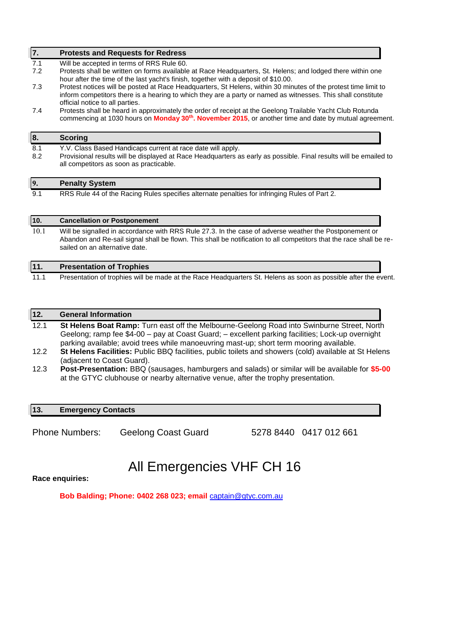| 7.       | <b>Protests and Requests for Redress</b>                                                                                                                                                                                                                          |
|----------|-------------------------------------------------------------------------------------------------------------------------------------------------------------------------------------------------------------------------------------------------------------------|
| 7.1      | Will be accepted in terms of RRS Rule 60.                                                                                                                                                                                                                         |
| 7.2      | Protests shall be written on forms available at Race Headquarters, St. Helens; and lodged there within one<br>hour after the time of the last yacht's finish, together with a deposit of \$10.00.                                                                 |
| 7.3      | Protest notices will be posted at Race Headquarters, St Helens, within 30 minutes of the protest time limit to<br>inform competitors there is a hearing to which they are a party or named as witnesses. This shall constitute<br>official notice to all parties. |
| 7.4      | Protests shall be heard in approximately the order of receipt at the Geelong Trailable Yacht Club Rotunda<br>commencing at 1030 hours on Monday 30 <sup>th</sup> . November 2015, or another time and date by mutual agreement.                                   |
|          |                                                                                                                                                                                                                                                                   |
|          | <b>Scoring</b>                                                                                                                                                                                                                                                    |
| 8.1      | Y.V. Class Based Handicaps current at race date will apply.                                                                                                                                                                                                       |
| 8.2      | Provisional results will be displayed at Race Headquarters as early as possible. Final results will be emailed to<br>all competitors as soon as practicable.                                                                                                      |
| 8.<br>9. | <b>Penalty System</b>                                                                                                                                                                                                                                             |

| 110. | <b>Cancellation or Postponement</b>                                                                                                                                                                                                                             |  |
|------|-----------------------------------------------------------------------------------------------------------------------------------------------------------------------------------------------------------------------------------------------------------------|--|
| 10.1 | Will be signalled in accordance with RRS Rule 27.3. In the case of adverse weather the Postponement or<br>Abandon and Re-sail signal shall be flown. This shall be notification to all competitors that the race shall be re-<br>sailed on an alternative date. |  |
|      |                                                                                                                                                                                                                                                                 |  |

| 11.  | <b>Presentation of Trophies</b>                                                                                |  |
|------|----------------------------------------------------------------------------------------------------------------|--|
| 11.1 | Presentation of trophies will be made at the Race Headquarters St. Helens as soon as possible after the event. |  |

| 12.  | <b>General Information</b>                                                                              |
|------|---------------------------------------------------------------------------------------------------------|
| 12.1 | St Helens Boat Ramp: Turn east off the Melbourne-Geelong Road into Swinburne Street, North              |
|      | Geelong; ramp fee \$4-00 - pay at Coast Guard; - excellent parking facilities; Lock-up overnight        |
|      | parking available; avoid trees while manoeuvring mast-up; short term mooring available.                 |
| 12.2 | St Helens Facilities: Public BBQ facilities, public toilets and showers (cold) available at St Helens   |
|      | (adjacent to Coast Guard).                                                                              |
| 12.3 | <b>Post-Presentation:</b> BBQ (sausages, hamburgers and salads) or similar will be available for \$5-00 |
|      | at the GTYC clubhouse or nearby alternative venue, after the trophy presentation.                       |

## **13. Emergency Contacts**

Phone Numbers: Geelong Coast Guard 5278 8440 0417 012 661

# All Emergencies VHF CH 16

**Race enquiries:**

**Bob Balding; Phone: 0402 268 023; email** [captain@gtyc.com.au](mailto:captain@gtyc.com.au)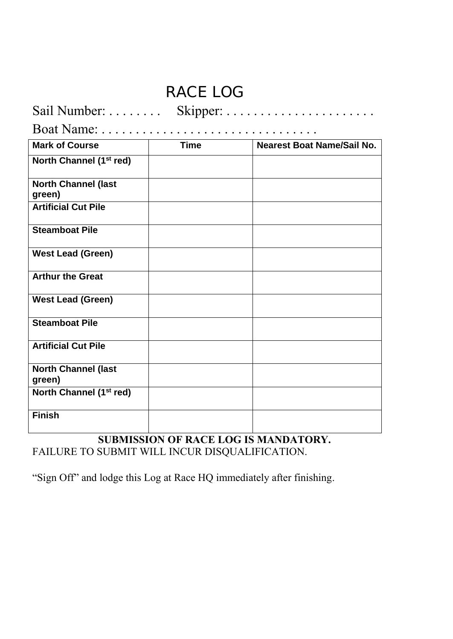# **RACE LOG**

| <b>Mark of Course</b>                | <b>Time</b> | <b>Nearest Boat Name/Sail No.</b> |  |
|--------------------------------------|-------------|-----------------------------------|--|
| North Channel (1 <sup>st</sup> red)  |             |                                   |  |
| <b>North Channel (last</b><br>green) |             |                                   |  |
| <b>Artificial Cut Pile</b>           |             |                                   |  |
| <b>Steamboat Pile</b>                |             |                                   |  |
| <b>West Lead (Green)</b>             |             |                                   |  |
| <b>Arthur the Great</b>              |             |                                   |  |
| <b>West Lead (Green)</b>             |             |                                   |  |
| <b>Steamboat Pile</b>                |             |                                   |  |
| <b>Artificial Cut Pile</b>           |             |                                   |  |
| <b>North Channel (last</b><br>green) |             |                                   |  |
| North Channel (1 <sup>st</sup> red)  |             |                                   |  |
| <b>Finish</b>                        |             |                                   |  |

**SUBMISSION OF RACE LOG IS MANDATORY.** FAILURE TO SUBMIT WILL INCUR DISQUALIFICATION.

"Sign Off" and lodge this Log at Race HQ immediately after finishing.